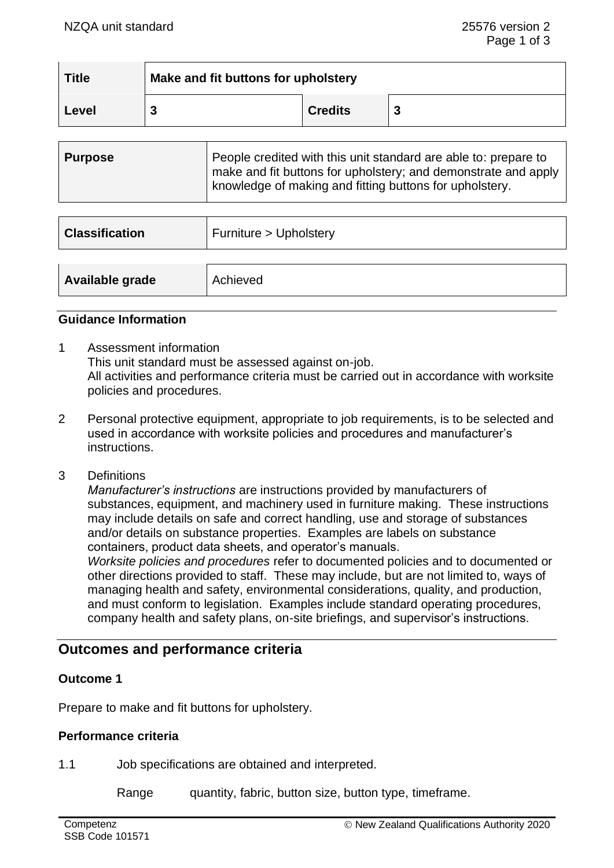| <b>Title</b> | Make and fit buttons for upholstery |                |  |
|--------------|-------------------------------------|----------------|--|
| Level        |                                     | <b>Credits</b> |  |

| <b>Purpose</b> | People credited with this unit standard are able to: prepare to<br>make and fit buttons for upholstery; and demonstrate and apply<br>knowledge of making and fitting buttons for upholstery. |
|----------------|----------------------------------------------------------------------------------------------------------------------------------------------------------------------------------------------|

| <b>Classification</b> | Furniture > Upholstery |
|-----------------------|------------------------|
| Available grade       | Achieved               |

### **Guidance Information**

- 1 Assessment information This unit standard must be assessed against on-job. All activities and performance criteria must be carried out in accordance with worksite policies and procedures.
- 2 Personal protective equipment, appropriate to job requirements, is to be selected and used in accordance with worksite policies and procedures and manufacturer's instructions.
- 3 Definitions

*Manufacturer's instructions* are instructions provided by manufacturers of substances, equipment, and machinery used in furniture making. These instructions may include details on safe and correct handling, use and storage of substances and/or details on substance properties. Examples are labels on substance containers, product data sheets, and operator's manuals.

*Worksite policies and procedures* refer to documented policies and to documented or other directions provided to staff. These may include, but are not limited to, ways of managing health and safety, environmental considerations, quality, and production, and must conform to legislation. Examples include standard operating procedures, company health and safety plans, on-site briefings, and supervisor's instructions.

# **Outcomes and performance criteria**

# **Outcome 1**

Prepare to make and fit buttons for upholstery.

# **Performance criteria**

1.1 Job specifications are obtained and interpreted.

Range quantity, fabric, button size, button type, timeframe.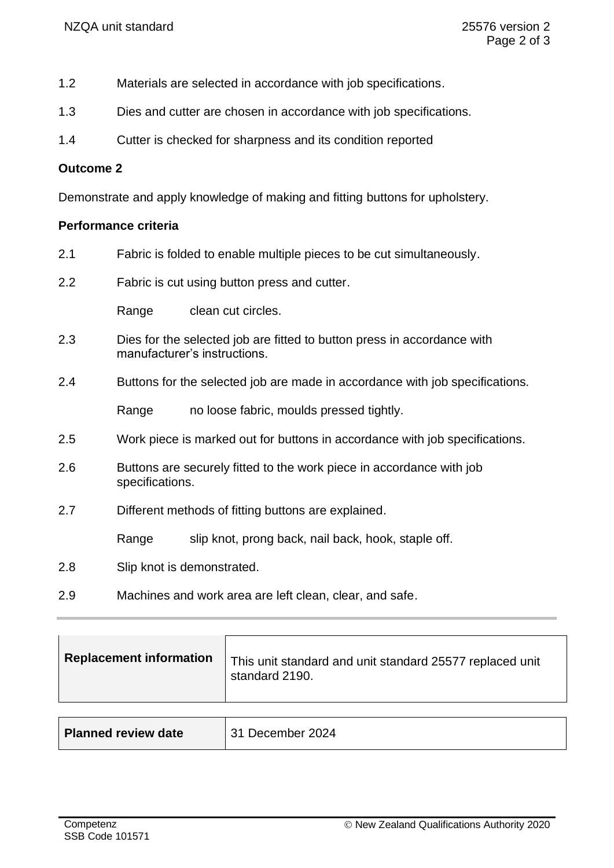- 1.2 Materials are selected in accordance with job specifications.
- 1.3 Dies and cutter are chosen in accordance with job specifications.
- 1.4 Cutter is checked for sharpness and its condition reported

## **Outcome 2**

Demonstrate and apply knowledge of making and fitting buttons for upholstery.

# **Performance criteria**

- 2.1 Fabric is folded to enable multiple pieces to be cut simultaneously. 2.2 Fabric is cut using button press and cutter. Range clean cut circles. 2.3 Dies for the selected job are fitted to button press in accordance with manufacturer's instructions. 2.4 Buttons for the selected job are made in accordance with job specifications. Range no loose fabric, moulds pressed tightly. 2.5 Work piece is marked out for buttons in accordance with job specifications. 2.6 Buttons are securely fitted to the work piece in accordance with job specifications. 2.7 Different methods of fitting buttons are explained. Range slip knot, prong back, nail back, hook, staple off. 2.8 Slip knot is demonstrated.
- 2.9 Machines and work area are left clean, clear, and safe.

| This unit standard and unit standard 25577 replaced unit<br>standard 2190. |
|----------------------------------------------------------------------------|
|                                                                            |
|                                                                            |

| <b>Planned review date</b> | 31 December 2024 |
|----------------------------|------------------|
|----------------------------|------------------|